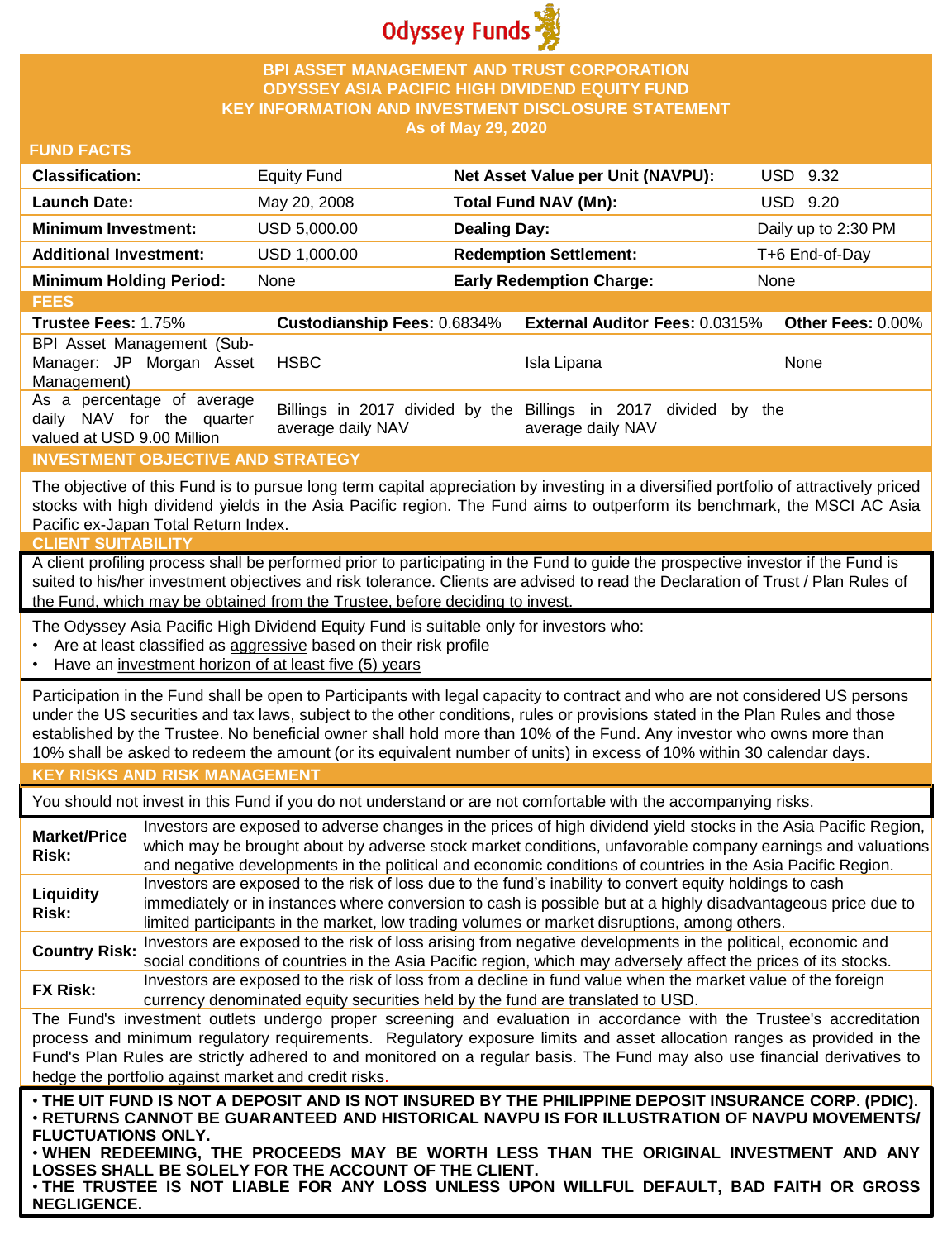

## **BPI ASSET MANAGEMENT AND TRUST CORPORATION ODYSSEY ASIA PACIFIC HIGH DIVIDEND EQUITY FUND KEY INFORMATION AND INVESTMENT DISCLOSURE STATEMENT As of May 29, 2020**

### **FUND FACTS**

| <b>Classification:</b>         | Equity Fund  | Net Asset Value per Unit (NAVPU): | USD 9.32            |
|--------------------------------|--------------|-----------------------------------|---------------------|
| <b>Launch Date:</b>            | May 20, 2008 | Total Fund NAV (Mn):              | USD 9.20            |
| <b>Minimum Investment:</b>     | USD 5,000,00 | <b>Dealing Day:</b>               | Daily up to 2:30 PM |
| <b>Additional Investment:</b>  | USD 1,000.00 | <b>Redemption Settlement:</b>     | T+6 End-of-Day      |
| <b>Minimum Holding Period:</b> | None         | <b>Early Redemption Charge:</b>   | None                |

**FEES Trustee Fees:** 1.75% **Custodianship Fees:** 0.6834% **External Auditor Fees:** 0.0315% **Other Fees:** 0.00% BPI Asset Management (Sub-Manager: JP Morgan Asset Management) HSBC Isla Lipana None As a percentage of average daily NAV for the quarter valued at USD 9.00 Million Billings in 2017 divided by the Billings in 2017 divided by the average daily NAV average daily NAV

### **INVESTMENT OBJECTIVE AND STRATEGY**

The objective of this Fund is to pursue long term capital appreciation by investing in a diversified portfolio of attractively priced stocks with high dividend yields in the Asia Pacific region. The Fund aims to outperform its benchmark, the MSCI AC Asia Pacific ex-Japan Total Return Index.

#### **CLIENT SUITABILITY**

A client profiling process shall be performed prior to participating in the Fund to guide the prospective investor if the Fund is suited to his/her investment objectives and risk tolerance. Clients are advised to read the Declaration of Trust / Plan Rules of the Fund, which may be obtained from the Trustee, before deciding to invest.

The Odyssey Asia Pacific High Dividend Equity Fund is suitable only for investors who:

- Are at least classified as aggressive based on their risk profile
- Have an investment horizon of at least five (5) years

Participation in the Fund shall be open to Participants with legal capacity to contract and who are not considered US persons under the US securities and tax laws, subject to the other conditions, rules or provisions stated in the Plan Rules and those established by the Trustee. No beneficial owner shall hold more than 10% of the Fund. Any investor who owns more than 10% shall be asked to redeem the amount (or its equivalent number of units) in excess of 10% within 30 calendar days.

### **KEY RISKS AND RISK MANAGEMENT**

You should not invest in this Fund if you do not understand or are not comfortable with the accompanying risks.

**Market/Price Risk:** Investors are exposed to adverse changes in the prices of high dividend yield stocks in the Asia Pacific Region, which may be brought about by adverse stock market conditions, unfavorable company earnings and valuations and negative developments in the political and economic conditions of countries in the Asia Pacific Region. **Liquidity Risk:** Investors are exposed to the risk of loss due to the fund's inability to convert equity holdings to cash immediately or in instances where conversion to cash is possible but at a highly disadvantageous price due to limited participants in the market, low trading volumes or market disruptions, among others. **Country Risk:** Investors are exposed to the risk of loss arising from negative developments in the political, economic and<br>Country Risk: experiment is and countries in the Asia Resification which were at your above at the

social conditions of countries in the Asia Pacific region, which may adversely affect the prices of its stocks. **FX Risk:** Investors are exposed to the risk of loss from a decline in fund value when the market value of the foreign

currency denominated equity securities held by the fund are translated to USD.

The Fund's investment outlets undergo proper screening and evaluation in accordance with the Trustee's accreditation process and minimum regulatory requirements. Regulatory exposure limits and asset allocation ranges as provided in the Fund's Plan Rules are strictly adhered to and monitored on a regular basis. The Fund may also use financial derivatives to hedge the portfolio against market and credit risks.

. THE UIT FUND IS NOT A DEPOSIT AND IS NOT INSURED BY THE PHILIPPINE DEPOSIT INSURANCE CORP. (PDIC). • **RETURNS CANNOT BE GUARANTEED AND HISTORICAL NAVPU IS FOR ILLUSTRATION OF NAVPU MOVEMENTS/ FLUCTUATIONS ONLY.**

• **WHEN REDEEMING, THE PROCEEDS MAY BE WORTH LESS THAN THE ORIGINAL INVESTMENT AND ANY LOSSES SHALL BE SOLELY FOR THE ACCOUNT OF THE CLIENT.**

• **THE TRUSTEE IS NOT LIABLE FOR ANY LOSS UNLESS UPON WILLFUL DEFAULT, BAD FAITH OR GROSS NEGLIGENCE.**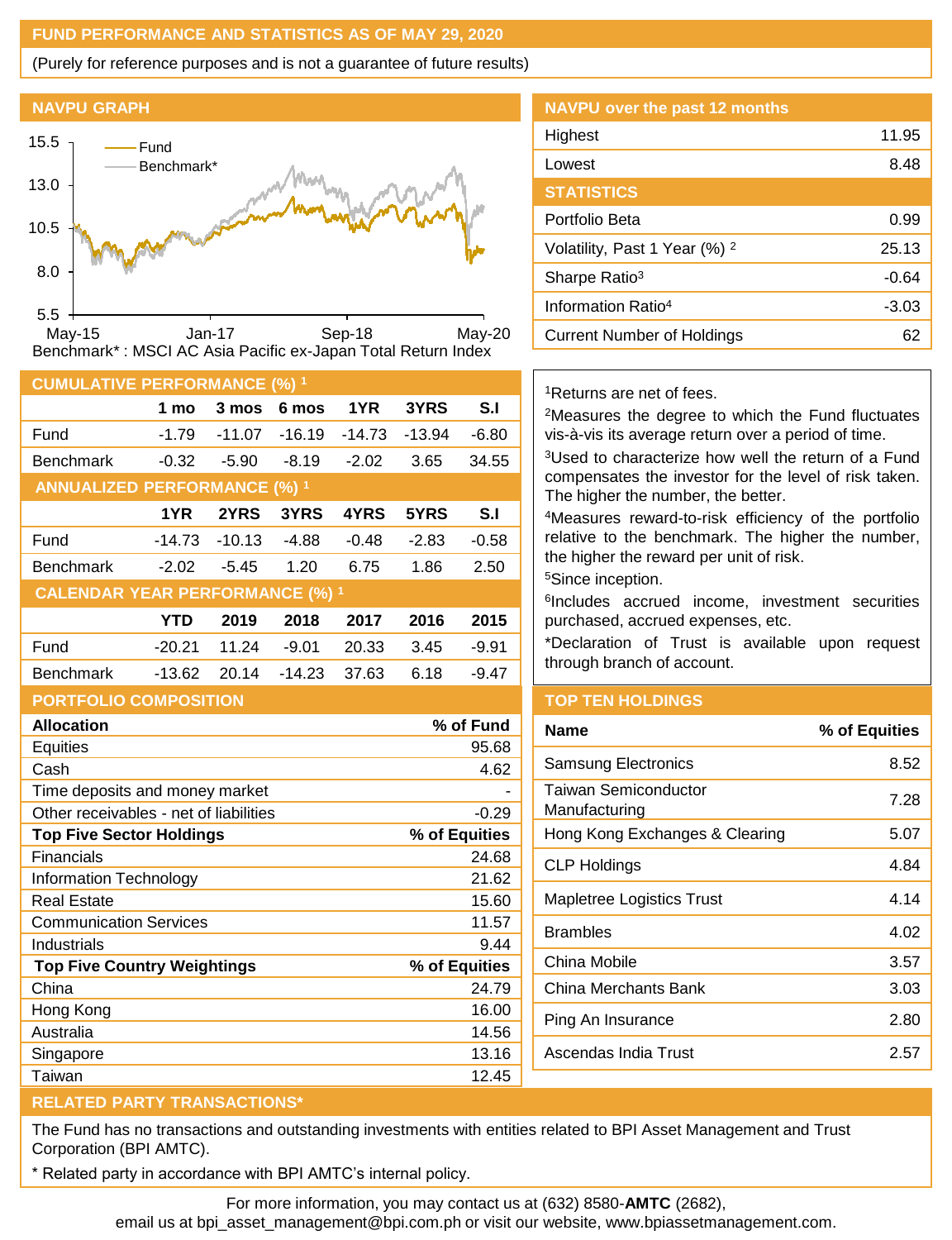# **FUND PERFORMANCE AND STATISTICS AS OF MAY 29, 2020**

(Purely for reference purposes and is not a guarantee of future results)

### **NAVPU GRAPH**



| <b>CUMULATIVE PERFORMANCE (%) 1</b>               |            |          |          |          |          |           |  |
|---------------------------------------------------|------------|----------|----------|----------|----------|-----------|--|
|                                                   | 1 mo       | 3 mos    | 6 mos    | 1YR      | 3YRS     | S.I       |  |
| Fund                                              | $-1.79$    | $-11.07$ | $-16.19$ | $-14.73$ | $-13.94$ | $-6.80$   |  |
| <b>Benchmark</b>                                  | $-0.32$    | $-5.90$  | $-8.19$  | $-2.02$  | 3.65     | 34.55     |  |
| <b>ANNUALIZED PERFORMANCE (%) 1</b>               |            |          |          |          |          |           |  |
|                                                   | 1YR        | 2YRS     | 3YRS     | 4YRS     | 5YRS     | S.I       |  |
| Fund                                              | $-14.73$   | $-10.13$ | $-4.88$  | $-0.48$  | $-2.83$  | $-0.58$   |  |
| <b>Benchmark</b>                                  | $-2.02$    | $-5.45$  | 1.20     | 6.75     | 1.86     | 2.50      |  |
| <b>CALENDAR YEAR PERFORMANCE (%) 1</b>            |            |          |          |          |          |           |  |
|                                                   | <b>YTD</b> | 2019     | 2018     | 2017     | 2016     | 2015      |  |
| Fund                                              | $-20.21$   | 11.24    | $-9.01$  | 20.33    | 3.45     | $-9.91$   |  |
| <b>Benchmark</b>                                  | $-13.62$   | 20.14    | $-14.23$ | 37.63    | 6.18     | $-9.47$   |  |
| <b>PORTFOLIO COMPOSITION</b>                      |            |          |          |          |          |           |  |
| <b>Allocation</b>                                 |            |          |          |          |          | % of Fund |  |
| Equities                                          |            |          |          |          |          | 95.68     |  |
| Cash                                              |            |          |          |          |          | 4.62      |  |
| Time deposits and money market                    |            |          |          |          |          |           |  |
| Other receivables - net of liabilities<br>$-0.29$ |            |          |          |          |          |           |  |
| % of Equities<br><b>Top Five Sector Holdings</b>  |            |          |          |          |          |           |  |
| Financials                                        |            |          |          |          |          | 24.68     |  |
| Information Technology                            |            |          |          |          | 21.62    |           |  |

Real Estate 15.60 Communication Services **11.57** Industrials 9.44 **Top Five Country Weightings % of Equities** China 24.79 Hong Kong 16.00 Australia 14.56 Singapore 13.16 Taiwan 12.45

# **NAVPU over the past 12 months** Highest 11.95 Lowest 8.48 **STATISTICS** Portfolio Beta 0.99 Volatility, Past 1 Year  $(\%)$  <sup>2</sup> 25.13 Sharpe Ratio<sup>3</sup> and Sharpe Ratio<sup>3</sup> and Sharpe Ratio<sup>3</sup> and Sharpe Ratio<sup>3</sup> Information Ratio<sup>4</sup> and 13.03 Current Number of Holdings **62**

# <sup>1</sup>Returns are net of fees.

<sup>2</sup>Measures the degree to which the Fund fluctuates vis-à-vis its average return over a period of time.

<sup>3</sup>Used to characterize how well the return of a Fund compensates the investor for the level of risk taken. The higher the number, the better.

<sup>4</sup>Measures reward-to-risk efficiency of the portfolio relative to the benchmark. The higher the number, the higher the reward per unit of risk.

<sup>5</sup>Since inception.

6 Includes accrued income, investment securities purchased, accrued expenses, etc.

\*Declaration of Trust is available upon request through branch of account.

# **TOP TEN HOLDINGS**

| Name                                  | % of Equities |
|---------------------------------------|---------------|
| <b>Samsung Electronics</b>            | 8.52          |
| Taiwan Semiconductor<br>Manufacturing | 7.28          |
| Hong Kong Exchanges & Clearing        | 5.07          |
| CLP Holdings                          | 4.84          |
| Mapletree Logistics Trust             | 4.14          |
| Brambles                              | 4.02          |
| China Mobile                          | 3.57          |
| China Merchants Bank                  | 3.03          |
| Ping An Insurance                     | 2.80          |
| Ascendas India Trust                  | 2.57          |
|                                       |               |

# **RELATED PARTY TRANSACTIONS\***

The Fund has no transactions and outstanding investments with entities related to BPI Asset Management and Trust Corporation (BPI AMTC).

\* Related party in accordance with BPI AMTC's internal policy.

For more information, you may contact us at (632) 8580-**AMTC** (2682),

email us at bpi\_asset\_management@bpi.com.ph or visit our website, www.bpiassetmanagement.com.